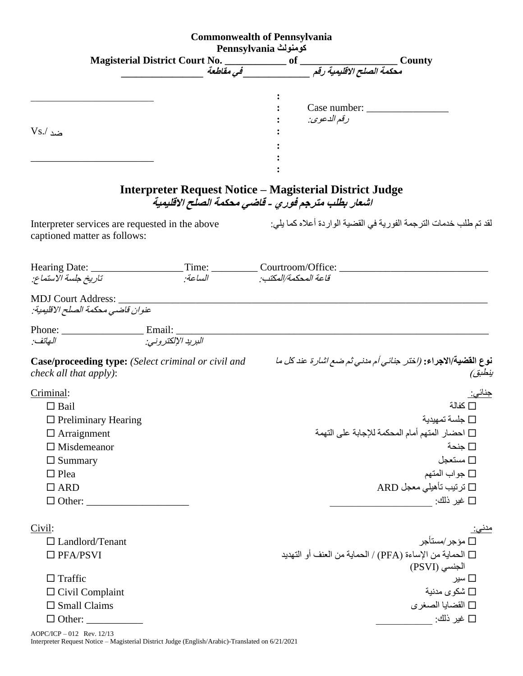| <b>Commonwealth of Pennsylvania</b>                                                                                                                  |                                                                                                                      |                      |                                                                                                                                                                                    |  |  |
|------------------------------------------------------------------------------------------------------------------------------------------------------|----------------------------------------------------------------------------------------------------------------------|----------------------|------------------------------------------------------------------------------------------------------------------------------------------------------------------------------------|--|--|
|                                                                                                                                                      |                                                                                                                      | Pennsylvania كومنولث |                                                                                                                                                                                    |  |  |
|                                                                                                                                                      |                                                                                                                      |                      |                                                                                                                                                                                    |  |  |
| ضد /Vs                                                                                                                                               |                                                                                                                      |                      | رقم الدعوى:                                                                                                                                                                        |  |  |
|                                                                                                                                                      | <b>Interpreter Request Notice – Magisterial District Judge</b><br>اشعار بطلب مترجم فوري - قاضى محكمة الصلح الاقليمية |                      |                                                                                                                                                                                    |  |  |
| Interpreter services are requested in the above<br>captioned matter as follows:                                                                      |                                                                                                                      |                      | لقد تم طلب خدمات الترجمة الفورية في القضية الوار دة أعلاه كما يلي:                                                                                                                 |  |  |
| تاريخ جلسة الاستماع:                                                                                                                                 | الساعة                                                                                                               | قاعة المحكمة/المكتب: | Hearing Date: _______________________Time: ____________Courtroom/Office: ___________________________                                                                               |  |  |
| MDJ Court Address:<br>عنوان قاضي محكمة الصلح الإقليمية:                                                                                              |                                                                                                                      |                      |                                                                                                                                                                                    |  |  |
|                                                                                                                                                      |                                                                                                                      |                      |                                                                                                                                                                                    |  |  |
| check all that apply):                                                                                                                               |                                                                                                                      |                      | نوع القضية/الاجراء: (اختر جنائي أم مدني ثم ضع اشارة عند كل ما " Case/proceeding type: (Select criminal or civil and<br>ينطبق)                                                      |  |  |
| Criminal:<br>$\Box$ Bail<br>$\Box$ Preliminary Hearing<br>$\Box$ Arraignment<br>$\Box$ Misdemeanor<br>$\Box$ Summary<br>$\Box$ Plea<br>$\Box$ ARD    |                                                                                                                      |                      | ا كفالة $\Box$<br>طسة تمهيدية $\square$<br>طحضار المتهم أمام المحكمة للإجابة على التهمة $\Box$<br>□ جنحة<br>□ مستعجل<br>□ جواب المتهم<br>□ ترتيب تأهيلي معجل ARD                   |  |  |
| Civil:<br>$\Box$ Landlord/Tenant<br>$\Box$ PFA/PSVI<br>$\Box$ Traffic<br>$\Box$ Civil Complaint<br>$\square$ Small Claims<br>AOPC/ICP-012 Rev. 12/13 |                                                                                                                      |                      | <u>ﯩﺪﻧﻰ:</u><br>□ ﻣﯘﺟﺮ/ﻣﺴﺘﺄﺟﺮ<br>،،،<br>□ الحماية من الإساءة (PFA) / الحماية من العنف أو التهديد<br>الجنسي (PSVI)<br>□ سیر<br>□ شكوى مدنية<br>□ القضايا الصغر ي<br>$\Box$ غير ذلك: |  |  |